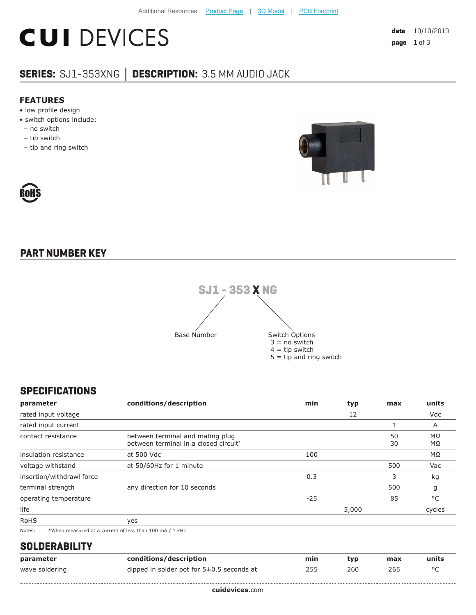# **CUI DEVICES**

## **SERIES:** SJ1-353XNG **│ DESCRIPTION:** 3.5 MM AUDIO JACK

#### **FEATURES**

- low profile design
- switch options include:
- no switch
- tip switch
- tip and ring switch





### **PART NUMBER KEY**



#### **SPECIFICATIONS**

| max      | units           |
|----------|-----------------|
|          | Vdc             |
|          | A               |
| 50<br>30 | $M\Omega$<br>MΩ |
|          | ΜΩ              |
| 500      | Vac             |
| 3        | kg              |
| 500      | g               |
| 85       | °C              |
|          | cycles          |
|          |                 |
|          |                 |

Notes: \*When measured at a current of less than 100 mA / 1 kHz

#### **SOLDERABILITY**

......................................

| parameter      | conditions/description                        | min | typ. | max | units   |
|----------------|-----------------------------------------------|-----|------|-----|---------|
| wave soldering | dipped in solder pot for $5\pm0.5$ seconds at | 255 | 260  | 265 | $\circ$ |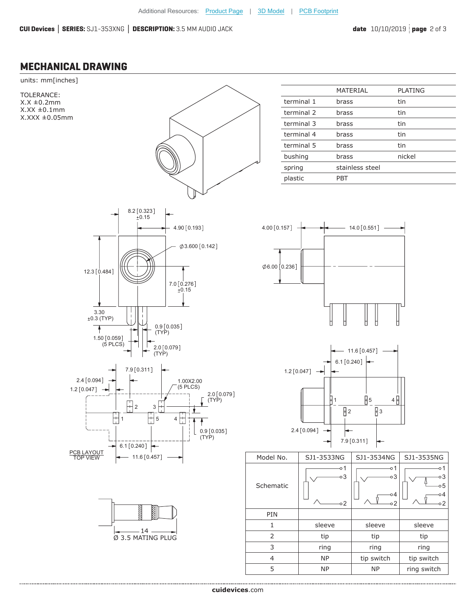...........................

#### **MECHANICAL DRAWING**

......................................